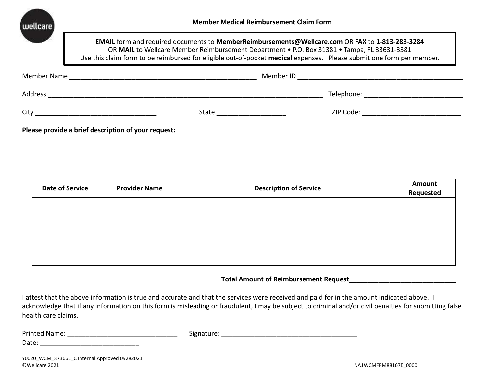

**EMAIL** form and required documents to **MemberReimbursements@Wellcare.com** OR **FAX** to **1-813-283-3284** OR MAIL to Wellcare Member Reimbursement Department • P.O. Box 31381 • Tampa, FL 33631-3381 Use this claim form to be reimbursed for eligible out-of-pocket **medical** expenses. Please submit one form per member.

| Member Name |       | Member ID |            |
|-------------|-------|-----------|------------|
| Address     |       |           | Telephone: |
| City        | State |           | ZIP Code:  |

**Please provide a brief description of your request:**

| <b>Date of Service</b> | <b>Provider Name</b> | <b>Description of Service</b> | <b>Amount</b><br>Requested |
|------------------------|----------------------|-------------------------------|----------------------------|
|                        |                      |                               |                            |
|                        |                      |                               |                            |
|                        |                      |                               |                            |
|                        |                      |                               |                            |
|                        |                      |                               |                            |

**Total Amount of Reimbursement Request\_\_\_\_\_\_\_\_\_\_\_\_\_\_\_\_\_\_\_\_\_\_\_\_\_\_\_\_\_**

I attest that the above information is true and accurate and that the services were received and paid for in the amount indicated above. I acknowledge that if any information on this form is misleading or fraudulent, I may be subject to criminal and/or civil penalties for submitting false health care claims.

| Printed               | u |
|-----------------------|---|
| ΊF                    | ັ |
| Date.<br>____________ |   |